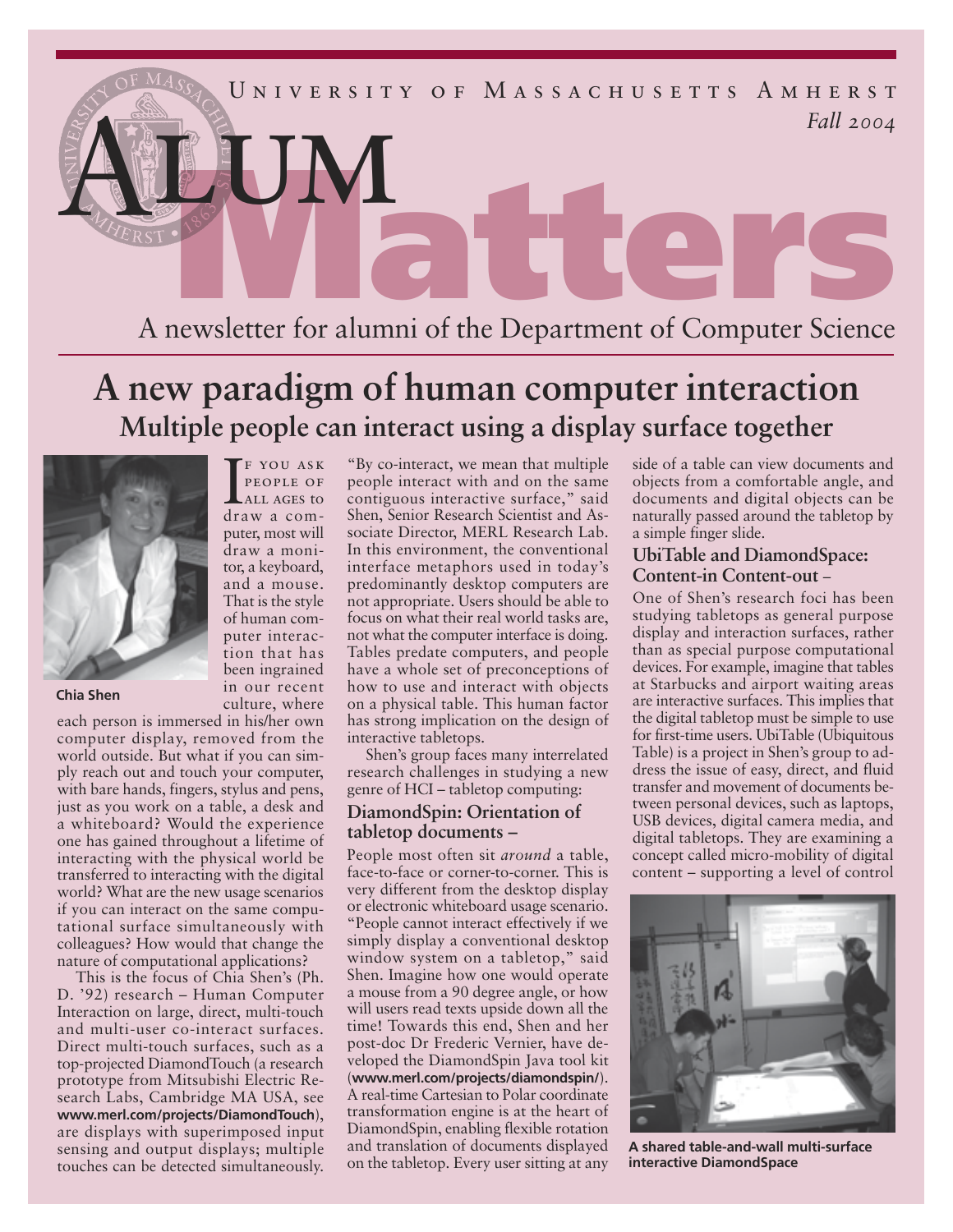

# **A new paradigm of human computer interaction Multiple people can interact using a display surface together**



**Chia Shen**

culture, where each person is immersed in his/her own computer display, removed from the world outside. But what if you can simply reach out and touch your computer, with bare hands, fingers, stylus and pens, just as you work on a table, a desk and a whiteboard? Would the experience one has gained throughout a lifetime of interacting with the physical world be transferred to interacting with the digital world? What are the new usage scenarios if you can interact on the same computational surface simultaneously with colleagues? How would that change the nature of computational applications?

F YOU ASK<br>PEOPLE OF<br>ALL AGES to<br>draw a comf you ask people of all ages to

puter, most will draw a monitor, a keyboard, and a mouse. That is the style of human computer interaction that has been ingrained in our recent

This is the focus of Chia Shen's (Ph. D. '92) research – Human Computer Interaction on large, direct, multi-touch and multi-user co-interact surfaces. Direct multi-touch surfaces, such as a top-projected DiamondTouch (a research prototype from Mitsubishi Electric Research Labs, Cambridge MA USA, see **www.merl.com/projects/DiamondTouch**), are displays with superimposed input sensing and output displays; multiple touches can be detected simultaneously.

"By co-interact, we mean that multiple people interact with and on the same contiguous interactive surface," said Shen, Senior Research Scientist and Associate Director, MERL Research Lab. In this environment, the conventional interface metaphors used in today's predominantly desktop computers are not appropriate. Users should be able to focus on what their real world tasks are, not what the computer interface is doing. Tables predate computers, and people have a whole set of preconceptions of how to use and interact with objects on a physical table. This human factor has strong implication on the design of interactive tabletops.

Shen's group faces many interrelated research challenges in studying a new genre of HCI – tabletop computing:

### **DiamondSpin: Orientation of tabletop documents –**

People most often sit *around* a table, face-to-face or corner-to-corner. This is very different from the desktop display or electronic whiteboard usage scenario. "People cannot interact effectively if we simply display a conventional desktop window system on a tabletop," said Shen. Imagine how one would operate a mouse from a 90 degree angle, or how will users read texts upside down all the time! Towards this end, Shen and her post-doc Dr Frederic Vernier, have developed the DiamondSpin Java tool kit (**www.merl.com/projects/diamondspin/**). A real-time Cartesian to Polar coordinate transformation engine is at the heart of DiamondSpin, enabling flexible rotation and translation of documents displayed on the tabletop. Every user sitting at any

side of a table can view documents and objects from a comfortable angle, and documents and digital objects can be naturally passed around the tabletop by a simple finger slide.

## **UbiTable and DiamondSpace: Content-in Content-out** –

One of Shen's research foci has been studying tabletops as general purpose display and interaction surfaces, rather than as special purpose computational devices. For example, imagine that tables at Starbucks and airport waiting areas are interactive surfaces. This implies that the digital tabletop must be simple to use for first-time users. UbiTable (Ubiquitous Table) is a project in Shen's group to address the issue of easy, direct, and fluid transfer and movement of documents between personal devices, such as laptops, USB devices, digital camera media, and digital tabletops. They are examining a concept called micro-mobility of digital content – supporting a level of control



**A shared table-and-wall multi-surface interactive DiamondSpace**